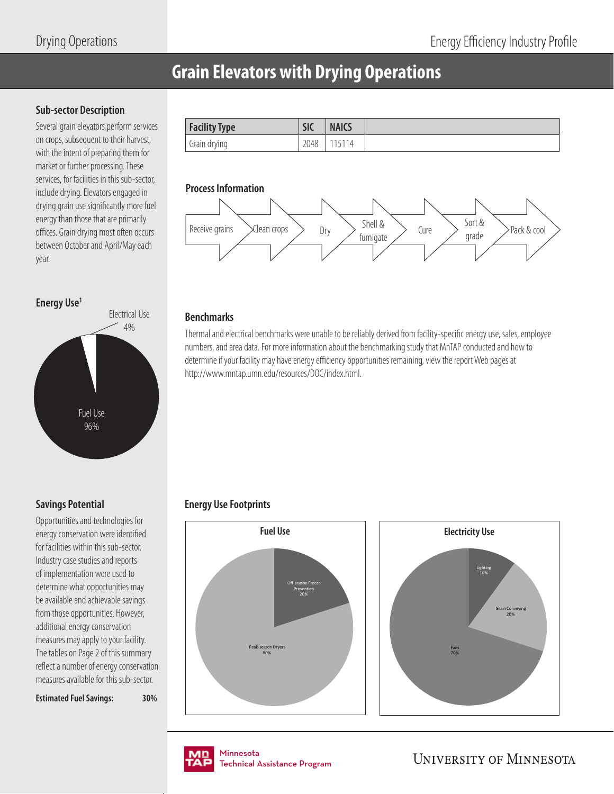# **Grain Elevators with Drying Operations**

#### **Sub-sector Description**

Several grain elevators perform services on crops, subsequent to their harvest, with the intent of preparing them for market or further processing. These services, for facilities in this sub-sector, include drying. Elevators engaged in drying grain use significantly more fuel energy than those that are primarily offices. Grain drying most often occurs between October and April/May each year.

**Energy Use1**



### **Savings Potential**

Opportunities and technologies for energy conservation were identified for facilities within this sub-sector. Industry case studies and reports of implementation were used to determine what opportunities may be available and achievable savings from those opportunities. However, additional energy conservation measures may apply to your facility. The tables on Page 2 of this summary reflect a number of energy conservation measures available for this sub-sector.

**Estimated Fuel Savings: 30%**



#### **Process Information**



#### **Benchmarks**

Thermal and electrical benchmarks were unable to be reliably derived from facility-specific energy use, sales, employee numbers, and area data. For more information about the benchmarking study that MnTAP conducted and how to determine if your facility may have energy efficiency opportunities remaining, view the report Web pages at http://www.mntap.umn.edu/resources/DOC/index.html.

## **Energy Use Footprints**







nmesota<br>:chnical Assis Technical Assistance Program .<br>Tochnical / Technical Assistance Program

**UNIVERSITY OF MINNESOTA**